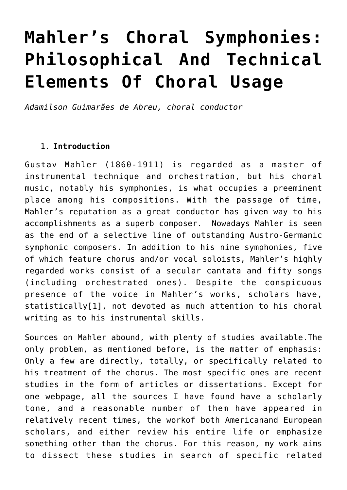# **[Mahler's Choral Symphonies:](http://icb.ifcm.net/ru_RU/mahlers-choral-symphonies-philosophical-and-technical-elements-of-choral-usage/) [Philosophical And Technical](http://icb.ifcm.net/ru_RU/mahlers-choral-symphonies-philosophical-and-technical-elements-of-choral-usage/) [Elements Of Choral Usage](http://icb.ifcm.net/ru_RU/mahlers-choral-symphonies-philosophical-and-technical-elements-of-choral-usage/)**

*Adamilson Guimarães de Abreu, choral conductor*

#### 1. **Introduction**

Gustav Mahler (1860-1911) is regarded as a master of instrumental technique and orchestration, but his choral music, notably his symphonies, is what occupies a preeminent place among his compositions. With the passage of time, Mahler's reputation as a great conductor has given way to his accomplishments as a superb composer. Nowadays Mahler is seen as the end of a selective line of outstanding Austro-Germanic symphonic composers. In addition to his nine symphonies, five of which feature chorus and/or vocal soloists, Mahler's highly regarded works consist of a secular cantata and fifty songs (including orchestrated ones). Despite the conspicuous presence of the voice in Mahler's works, scholars have, statisticall[y\[1\]](http://icb.ifcm.net/applewebdata://9E3B48BF-B8CF-4DE6-966E-F39BBEF12231#_ftn1), not devoted as much attention to his choral writing as to his instrumental skills.

Sources on Mahler abound, with plenty of studies available.The only problem, as mentioned before, is the matter of emphasis: Only a few are directly, totally, or specifically related to his treatment of the chorus. The most specific ones are recent studies in the form of articles or dissertations. Except for one webpage, all the sources I have found have a scholarly tone, and a reasonable number of them have appeared in relatively recent times, the workof both Americanand European scholars, and either review his entire life or emphasize something other than the chorus. For this reason, my work aims to dissect these studies in search of specific related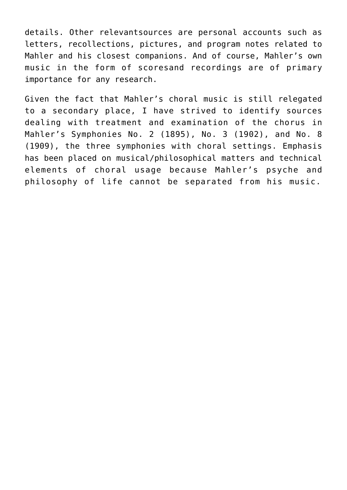details. Other relevantsources are personal accounts such as letters, recollections, pictures, and program notes related to Mahler and his closest companions. And of course, Mahler's own music in the form of scoresand recordings are of primary importance for any research.

Given the fact that Mahler's choral music is still relegated to a secondary place, I have strived to identify sources dealing with treatment and examination of the chorus in Mahler's Symphonies No. 2 (1895), No. 3 (1902), and No. 8 (1909), the three symphonies with choral settings. Emphasis has been placed on musical/philosophical matters and technical elements of choral usage because Mahler's psyche and philosophy of life cannot be separated from his music.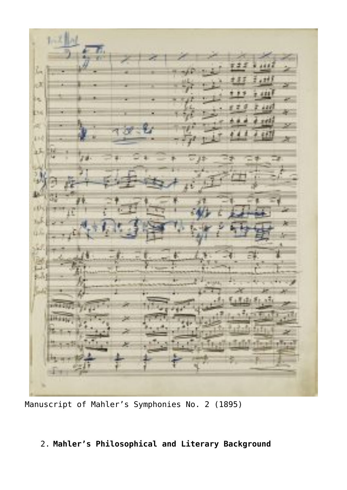J

Manuscript of Mahler's Symphonies No. 2 (1895)

# 2. **Mahler's Philosophical and Literary Background**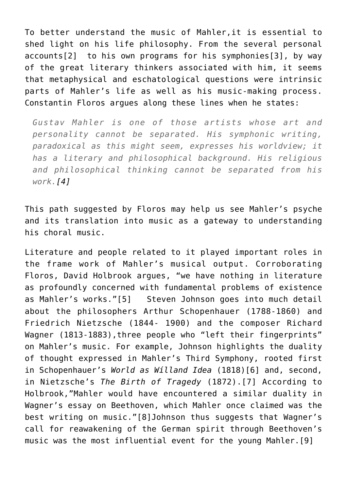To better understand the music of Mahler,it is essential to shed light on his life philosophy. From the several personal account[s\[2\]](http://icb.ifcm.net/applewebdata://9E3B48BF-B8CF-4DE6-966E-F39BBEF12231#_ftn2) to his own programs for his symphonie[s\[3\],](http://icb.ifcm.net/applewebdata://9E3B48BF-B8CF-4DE6-966E-F39BBEF12231#_ftn3) by way of the great literary thinkers associated with him, it seems that metaphysical and eschatological questions were intrinsic parts of Mahler's life as well as his music-making process. Constantin Floros argues along these lines when he states:

*Gustav Mahler is one of those artists whose art and personality cannot be separated. His symphonic writing, paradoxical as this might seem, expresses his worldview; it has a literary and philosophical background. His religious and philosophical thinking cannot be separated from his work.[\[4\]](http://icb.ifcm.net/applewebdata://9E3B48BF-B8CF-4DE6-966E-F39BBEF12231#_ftn4)*

This path suggested by Floros may help us see Mahler's psyche and its translation into music as a gateway to understanding his choral music.

Literature and people related to it played important roles in the frame work of Mahler's musical output. Corroborating Floros, David Holbrook argues, "we have nothing in literature as profoundly concerned with fundamental problems of existence as Mahler's works."[\[5\]](http://icb.ifcm.net/applewebdata://9E3B48BF-B8CF-4DE6-966E-F39BBEF12231#_ftn5) Steven Johnson goes into much detail about the philosophers Arthur Schopenhauer (1788-1860) and Friedrich Nietzsche (1844- 1900) and the composer Richard Wagner (1813-1883), three people who "left their fingerprints" on Mahler's music. For example, Johnson highlights the duality of thought expressed in Mahler's Third Symphony, rooted first in Schopenhauer's *World as Wílland Idea* (1818[\)\[6\]](http://icb.ifcm.net/applewebdata://9E3B48BF-B8CF-4DE6-966E-F39BBEF12231#_ftn6) and, second, in Nietzsche's *The Birth of Tragedy* (1872).[\[7\]](http://icb.ifcm.net/applewebdata://9E3B48BF-B8CF-4DE6-966E-F39BBEF12231#_ftn7) According to Holbrook,"Mahler would have encountered a similar duality in Wagner's essay on Beethoven, which Mahler once claimed was the best writing on music.["\[8\]](http://icb.ifcm.net/applewebdata://9E3B48BF-B8CF-4DE6-966E-F39BBEF12231#_ftn8)Johnson thus suggests that Wagner's call for reawakening of the German spirit through Beethoven's music was the most influential event for the young Mahler.[\[9\]](http://icb.ifcm.net/applewebdata://9E3B48BF-B8CF-4DE6-966E-F39BBEF12231#_ftn9)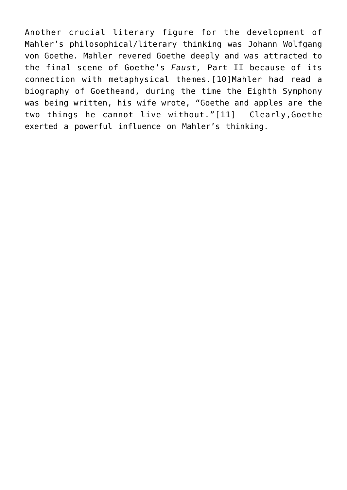Another crucial literary figure for the development of Mahler's philosophical/literary thinking was Johann Wolfgang von Goethe. Mahler revered Goethe deeply and was attracted to the final scene of Goethe's *Faust,* Part II because of its connection with metaphysical themes.[\[10\]M](http://icb.ifcm.net/applewebdata://9E3B48BF-B8CF-4DE6-966E-F39BBEF12231#_ftn10)ahler had read a biography of Goetheand, during the time the Eighth Symphony was being written, his wife wrote, "Goethe and apples are the two things he cannot live without."[\[11\]](http://icb.ifcm.net/applewebdata://9E3B48BF-B8CF-4DE6-966E-F39BBEF12231#_ftn11) Clearly,Goethe exerted a powerful influence on Mahler's thinking.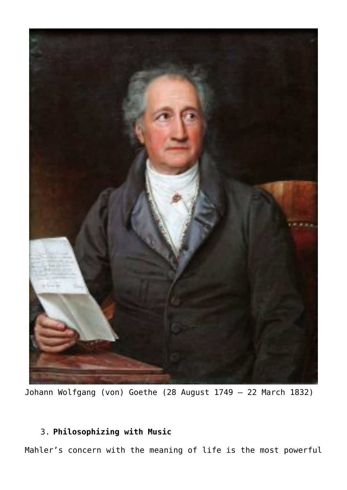

Johann Wolfgang (von) Goethe (28 August 1749 – 22 March 1832)

# 3. **Philosophizing with Music**

Mahler's concern with the meaning of life is the most powerful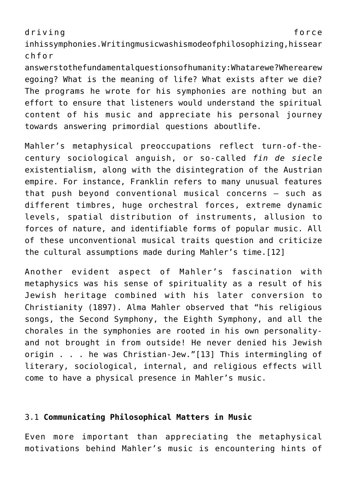driving force

inhissymphonies.Writingmusicwashismodeofphilosophizing,hissear chfor

answerstothefundamentalquestionsofhumanity:Whatarewe?Wherearew egoing? What is the meaning of life? What exists after we die? The programs he wrote for his symphonies are nothing but an effort to ensure that listeners would understand the spiritual content of his music and appreciate his personal journey towards answering primordial questions aboutlife.

Mahler's metaphysical preoccupations reflect turn-of-thecentury sociological anguish, or so-called *fin de siecle* existentialism, along with the disintegration of the Austrian empire. For instance, Franklin refers to many unusual features that push beyond conventional musical concerns – such as different timbres, huge orchestral forces, extreme dynamic levels, spatial distribution of instruments, allusion to forces of nature, and identifiable forms of popular music. All of these unconventional musical traits question and criticize the cultural assumptions made during Mahler's time.[\[12\]](http://icb.ifcm.net/applewebdata://9E3B48BF-B8CF-4DE6-966E-F39BBEF12231#_ftn12)

Another evident aspect of Mahler's fascination with metaphysics was his sense of spirituality as a result of his Jewish heritage combined with his later conversion to Christianity (1897). Alma Mahler observed that "his religious songs, the Second Symphony, the Eighth Symphony, and all the chorales in the symphonies are rooted in his own personalityand not brought in from outside! He never denied his Jewish origin . . . he was Christian-Jew."[\[13\]](http://icb.ifcm.net/applewebdata://9E3B48BF-B8CF-4DE6-966E-F39BBEF12231#_ftn13) This intermingling of literary, sociological, internal, and religious effects will come to have a physical presence in Mahler's music.

## 3.1 **Communicating Philosophical Matters in Music**

Even more important than appreciating the metaphysical motivations behind Mahler's music is encountering hints of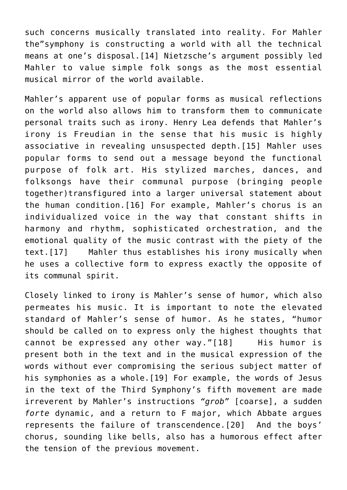such concerns musically translated into reality. For Mahler the"symphony is constructing a world with all the technical means at one's disposal. [14] Nietzsche's argument possibly led Mahler to value simple folk songs as the most essential musical mirror of the world available.

Mahler's apparent use of popular forms as musical reflections on the world also allows him to transform them to communicate personal traits such as irony. Henry Lea defends that Mahler's irony is Freudian in the sense that his music is highly associative in revealing unsuspected depth.[\[15\]](http://icb.ifcm.net/applewebdata://9E3B48BF-B8CF-4DE6-966E-F39BBEF12231#_ftn15) Mahler uses popular forms to send out a message beyond the functional purpose of folk art. His stylized marches, dances, and folksongs have their communal purpose (bringing people together)transfigured into a larger universal statement about the human condition.[\[16\]](http://icb.ifcm.net/applewebdata://9E3B48BF-B8CF-4DE6-966E-F39BBEF12231#_ftn16) For example, Mahler's chorus is an individualized voice in the way that constant shifts in harmony and rhythm, sophisticated orchestration, and the emotional quality of the music contrast with the piety of the text.[\[17\]](http://icb.ifcm.net/applewebdata://9E3B48BF-B8CF-4DE6-966E-F39BBEF12231#_ftn17) Mahler thus establishes his irony musically when he uses a collective form to express exactly the opposite of its communal spirit.

Closely linked to irony is Mahler's sense of humor, which also permeates his music. It is important to note the elevated standard of Mahler's sense of humor. As he states, "humor should be called on to express only the highest thoughts that cannot be expressed any other way."[\[18\]](http://icb.ifcm.net/applewebdata://9E3B48BF-B8CF-4DE6-966E-F39BBEF12231#_ftn18) His humor is present both in the text and in the musical expression of the words without ever compromising the serious subject matter of his symphonies as a whole[.\[19\]](http://icb.ifcm.net/applewebdata://9E3B48BF-B8CF-4DE6-966E-F39BBEF12231#_ftn19) For example, the words of Jesus in the text of the Third Symphony's fifth movement are made irreverent by Mahler's instructions *"grob"* [coarse], a sudden *forte* dynamic, and a return to F major, which Abbate argues represents the failure of transcendence.[\[20\]](http://icb.ifcm.net/applewebdata://9E3B48BF-B8CF-4DE6-966E-F39BBEF12231#_ftn20) And the boys' chorus, sounding like bells, also has a humorous effect after the tension of the previous movement.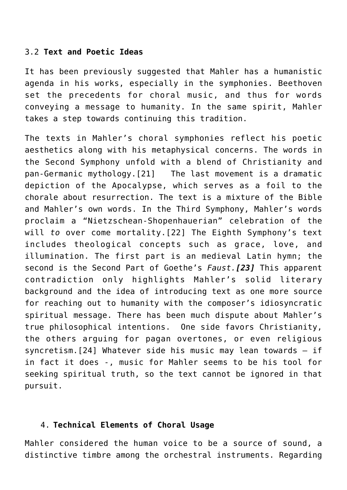#### 3.2 **Text and Poetic Ideas**

It has been previously suggested that Mahler has a humanistic agenda in his works, especially in the symphonies. Beethoven set the precedents for choral music, and thus for words conveying a message to humanity. In the same spirit, Mahler takes a step towards continuing this tradition.

The texts in Mahler's choral symphonies reflect his poetic aesthetics along with his metaphysical concerns. The words in the Second Symphony unfold with a blend of Christianity and pan-Germanic mythology.[\[21\]](http://icb.ifcm.net/applewebdata://9E3B48BF-B8CF-4DE6-966E-F39BBEF12231#_ftn21) The last movement is a dramatic depiction of the Apocalypse, which serves as a foil to the chorale about resurrection. The text is a mixture of the Bible and Mahler's own words. In the Third Symphony, Mahler's words proclaim a "Nietzschean-Shopenhauerian" celebration of the will *to* over come mortality.[\[22\]](http://icb.ifcm.net/applewebdata://9E3B48BF-B8CF-4DE6-966E-F39BBEF12231#_ftn22) The Eighth Symphony's text includes theological concepts such as grace, love, and illumination. The first part is an medieval Latin hymn; the second is the Second Part of Goethe's *Faust.[\[23\]](http://icb.ifcm.net/applewebdata://9E3B48BF-B8CF-4DE6-966E-F39BBEF12231#_ftn23)* This apparent contradiction only highlights Mahler's solid literary background and the idea of introducing text as one more source for reaching out to humanity with the composer's idiosyncratic spiritual message. There has been much dispute about Mahler's true philosophical intentions. One side favors Christianity, the others arguing for pagan overtones, or even religious syncretism.[\[24\]](http://icb.ifcm.net/applewebdata://9E3B48BF-B8CF-4DE6-966E-F39BBEF12231#_ftn24) Whatever side his music may lean towards – if in fact it does -, music for Mahler seems to be his tool for seeking spiritual truth, so the text cannot be ignored in that pursuit.

#### 4. **Technical Elements of Choral Usage**

Mahler considered the human voice to be a source of sound, a distinctive timbre among the orchestral instruments. Regarding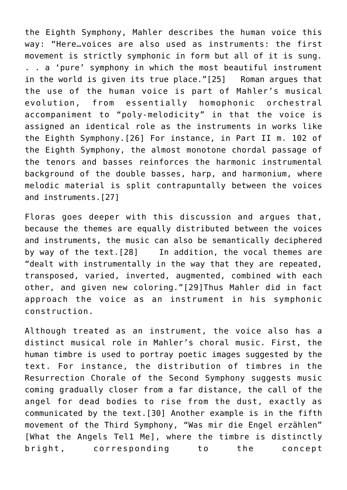the Eighth Symphony, Mahler describes the human voice this way: "Here…voices are also used as instruments: the first movement is strictly symphonic in form but all of it is sung. . . a 'pure' symphony in which the most beautiful instrument in the world is given its true place.["\[25\]](http://icb.ifcm.net/applewebdata://9E3B48BF-B8CF-4DE6-966E-F39BBEF12231#_ftn25) Roman argues that the use of the human voice is part of Mahler's musical evolution, from essentially homophonic orchestral accompaniment to "poly-melodicity" in that the voice is assigned an identical role as the instruments in works like the Eighth Symphony[.\[26\]](http://icb.ifcm.net/applewebdata://9E3B48BF-B8CF-4DE6-966E-F39BBEF12231#_ftn26) For instance, in Part II m. 102 of the Eighth Symphony, the almost monotone chordal passage of the tenors and basses reinforces the harmonic instrumental background of the double basses, harp, and harmonium, where melodic material is split contrapuntally between the voices and instruments.[\[27\]](http://icb.ifcm.net/applewebdata://9E3B48BF-B8CF-4DE6-966E-F39BBEF12231#_ftn27)

Floras goes deeper with this discussion and argues that, because the themes are equally distributed between the voices and instruments, the music can also be semantically deciphered by way of the text.[\[28\]](http://icb.ifcm.net/applewebdata://9E3B48BF-B8CF-4DE6-966E-F39BBEF12231#_ftn28) In addition, the vocal themes are "dealt with instrumentally in the way that they are repeated, transposed, varied, inverted, augmented, combined with each other, and given new coloring."[\[29\]](http://icb.ifcm.net/applewebdata://9E3B48BF-B8CF-4DE6-966E-F39BBEF12231#_ftn29)Thus Mahler did in fact approach the voice as an instrument in his symphonic construction.

Although treated as an instrument, the voice also has a distinct musical role in Mahler's choral music. First, the human timbre is used to portray poetic images suggested by the text. For instance, the distribution of timbres in the Resurrection Chorale of the Second Symphony suggests music coming gradually closer from a far distance, the call of the angel for dead bodies to rise from the dust, exactly as communicated by the text[.\[30\]](http://icb.ifcm.net/applewebdata://9E3B48BF-B8CF-4DE6-966E-F39BBEF12231#_ftn30) Another example is in the fifth movement of the Third Symphony, "Was mir die Engel erzählen" [What the Angels Tel1 Me], where the timbre is distinctly bright, corresponding to the concept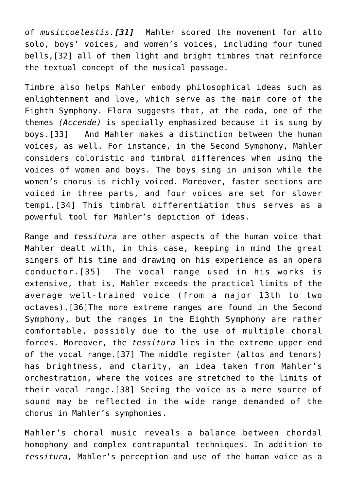of *musíccoelestís.[\[31\]](http://icb.ifcm.net/applewebdata://9E3B48BF-B8CF-4DE6-966E-F39BBEF12231#_ftn31)* Mahler scored the movement for alto solo, boys' voices, and women's voices, including four tuned bells,[\[32\]](http://icb.ifcm.net/applewebdata://9E3B48BF-B8CF-4DE6-966E-F39BBEF12231#_ftn32) all of them light and bright timbres that reinforce the textual concept of the musical passage.

Timbre also helps Mahler embody philosophical ideas such as enlightenment and love, which serve as the main core of the Eighth Symphony. Flora suggests that, at the coda, one of the themes *(Accende)* is specially emphasized because it is sung by boys.[\[33\]](http://icb.ifcm.net/applewebdata://9E3B48BF-B8CF-4DE6-966E-F39BBEF12231#_ftn33) And Mahler makes a distinction between the human voices, as well. For instance, in the Second Symphony, Mahler considers coloristic and timbral differences when using the voices of women and boys. The boys sing in unison while the women's chorus is richly voiced. Moreover, faster sections are voiced in three parts, and four voices are set for slower tempi.[\[34\]](http://icb.ifcm.net/applewebdata://9E3B48BF-B8CF-4DE6-966E-F39BBEF12231#_ftn34) This timbral differentiation thus serves as a powerful tool for Mahler's depiction of ideas.

Range and *tessítura* are other aspects of the human voice that Mahler dealt with, in this case, keeping in mind the great singers of his time and drawing on his experience as an opera conductor.[\[35\]](http://icb.ifcm.net/applewebdata://9E3B48BF-B8CF-4DE6-966E-F39BBEF12231#_ftn35) The vocal range used in his works is extensive, that is, Mahler exceeds the practical limits of the average well-trained voice (from a major 13th to two octaves).[\[36\]T](http://icb.ifcm.net/applewebdata://9E3B48BF-B8CF-4DE6-966E-F39BBEF12231#_ftn36)he more extreme ranges are found in the Second Symphony, but the ranges in the Eighth Symphony are rather comfortable, possibly due to the use of multiple choral forces. Moreover, the *tessitura* lies in the extreme upper end of the vocal range.[\[37\]](http://icb.ifcm.net/applewebdata://9E3B48BF-B8CF-4DE6-966E-F39BBEF12231#_ftn37) The middle register (altos and tenors) has brightness, and clarity, an idea taken from Mahler's orchestration, where the voices are stretched to the limits of their vocal range[.\[38\]](http://icb.ifcm.net/applewebdata://9E3B48BF-B8CF-4DE6-966E-F39BBEF12231#_ftn38) Seeing the voice as a mere source of sound may be reflected in the wide range demanded of the chorus in Mahler's symphonies.

Mahler's choral music reveals a balance between chordal homophony and complex contrapuntal techniques. In addition to *tessitura,* Mahler's perception and use of the human voice as a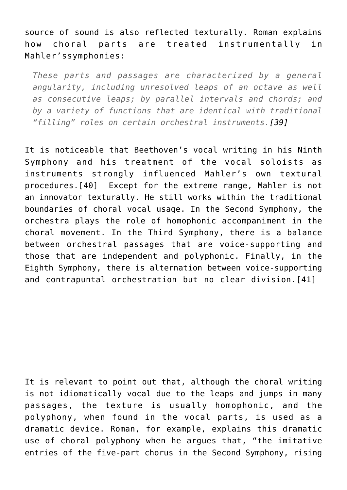source of sound is also reflected texturally. Roman explains how choral parts are treated instrumentally in Mahler'ssymphonies:

*These parts and passages are characterized by a general angularity, including unresolved leaps of an octave as well as consecutive leaps; by parallel intervals and chords; and by a variety of functions that are identical with traditional "filling" roles on certain orchestral instruments[.\[39\]](http://icb.ifcm.net/applewebdata://9E3B48BF-B8CF-4DE6-966E-F39BBEF12231#_ftn39)*

It is noticeable that Beethoven's vocal writing in his Ninth Symphony and his treatment of the vocal soloists as instruments strongly influenced Mahler's own textural procedures.[\[40\]](http://icb.ifcm.net/applewebdata://9E3B48BF-B8CF-4DE6-966E-F39BBEF12231#_ftn40) Except for the extreme range, Mahler is not an innovator texturally. He still works within the traditional boundaries of choral vocal usage. In the Second Symphony, the orchestra plays the role of homophonic accompaniment in the choral movement. In the Third Symphony, there is a balance between orchestral passages that are voice-supporting and those that are independent and polyphonic. Finally, in the Eighth Symphony, there is alternation between voice-supporting and contrapuntal orchestration but no clear division.[\[41\]](http://icb.ifcm.net/applewebdata://9E3B48BF-B8CF-4DE6-966E-F39BBEF12231#_ftn41)

It is relevant to point out that, although the choral writing is not idiomatically vocal due to the leaps and jumps in many passages, the texture is usually homophonic, and the polyphony, when found in the vocal parts, is used as a dramatic device. Roman, for example, explains this dramatic use of choral polyphony when he argues that, "the imitative entries of the five-part chorus in the Second Symphony, rising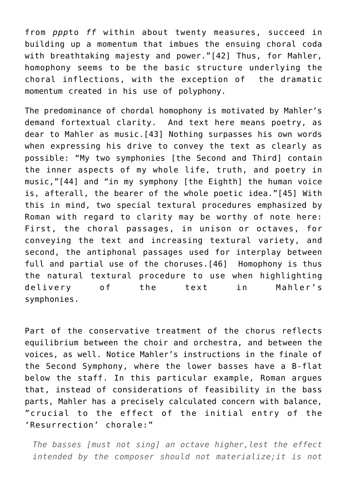from *ppp*to *ff* within about twenty measures, succeed in building up a momentum that imbues the ensuing choral coda with breathtaking majesty and power."[\[42\]](http://icb.ifcm.net/applewebdata://9E3B48BF-B8CF-4DE6-966E-F39BBEF12231#_ftn42) Thus, for Mahler, homophony seems to be the basic structure underlying the choral inflections, with the exception of the dramatic momentum created in his use of polyphony.

The predominance of chordal homophony is motivated by Mahler's demand fortextual clarity. And text here means poetry, as dear to Mahler as music.[\[43\]](http://icb.ifcm.net/applewebdata://9E3B48BF-B8CF-4DE6-966E-F39BBEF12231#_ftn43) Nothing surpasses his own words when expressing his drive to convey the text as clearly as possible: "My two symphonies [the Second and Third] contain the inner aspects of my whole life, truth, and poetry in music,["\[44\]](http://icb.ifcm.net/applewebdata://9E3B48BF-B8CF-4DE6-966E-F39BBEF12231#_ftn44) and "in my symphony [the Eighth] the human voice is, afterall, the bearer of the whole poetic idea."[\[45\]](http://icb.ifcm.net/applewebdata://9E3B48BF-B8CF-4DE6-966E-F39BBEF12231#_ftn45) With this in mind, two special textural procedures emphasized by Roman with regard to clarity may be worthy of note here: First, the choral passages, in unison or octaves, for conveying the text and increasing textural variety, and second, the antiphonal passages used for interplay between full and partial use of the choruses.[\[46\]](http://icb.ifcm.net/applewebdata://9E3B48BF-B8CF-4DE6-966E-F39BBEF12231#_ftn46) Homophony is thus the natural textural procedure to use when highlighting delivery of the text in Mahler's symphonies.

Part of the conservative treatment of the chorus reflects equilibrium between the choir and orchestra, and between the voices, as well. Notice Mahler's instructions in the finale of the Second Symphony, where the lower basses have a B-flat below the staff. In this particular example, Roman argues that, instead of considerations of feasibility in the bass parts, Mahler has a precisely calculated concern with balance, "crucial to the effect of the initial entry of the 'Resurrection' chorale:"

*The basses [must not sing] an octave higher,lest the effect intended by the composer should not materialize;it is not*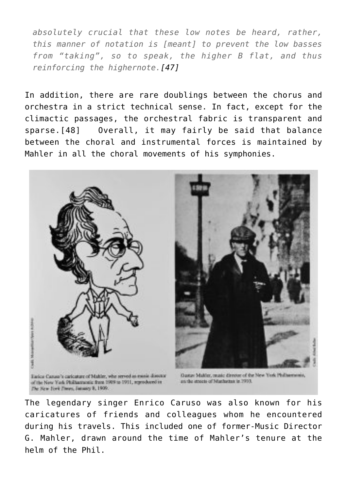*absolutely crucial that these low notes be heard, rather, this manner of notation is [meant] to prevent the low basses from "taking", so to speak, the higher B flat, and thus reinforcing the highernote[.\[47\]](http://icb.ifcm.net/applewebdata://9E3B48BF-B8CF-4DE6-966E-F39BBEF12231#_ftn47)*

In addition, there are rare doublings between the chorus and orchestra in a strict technical sense. In fact, except for the climactic passages, the orchestral fabric is transparent and sparse.[\[48\]](http://icb.ifcm.net/applewebdata://9E3B48BF-B8CF-4DE6-966E-F39BBEF12231#_ftn48) Overall, it may fairly be said that balance between the choral and instrumental forces is maintained by Mahler in all the choral movements of his symphonies.



The legendary singer Enrico Caruso was also known for his caricatures of friends and colleagues whom he encountered during his travels. This included one of former-Music Director G. Mahler, drawn around the time of Mahler's tenure at the helm of the Phil.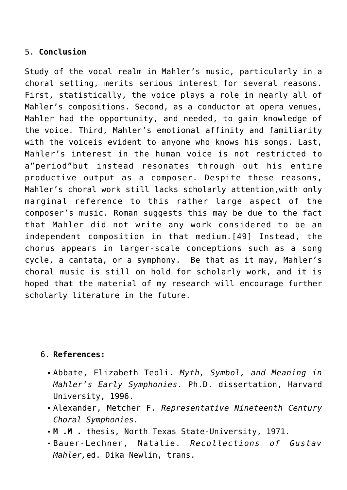## 5. **Conclusion**

Study of the vocal realm in Mahler's music, particularly in a choral setting, merits serious interest for several reasons. First, statistically, the voice plays a role in nearly all of Mahler's compositions. Second, as a conductor at opera venues, Mahler had the opportunity, and needed, to gain knowledge of the voice. Third, Mahler's emotional affinity and familiarity with the voiceis evident to anyone who knows his songs. Last, Mahler's interest in the human voice is not restricted to a"period"but instead resonates through out his entire productive output as a composer. Despite these reasons, Mahler's choral work still lacks scholarly attention,with only marginal reference to this rather large aspect of the composer's music. Roman suggests this may be due to the fact that Mahler did not write any work considered to be an independent composition in that medium.[\[49\]](http://icb.ifcm.net/applewebdata://9E3B48BF-B8CF-4DE6-966E-F39BBEF12231#_ftn49) Instead, the chorus appears in larger-scale conceptions such as a song cycle, a cantata, or a symphony. Be that as it may, Mahler's choral music is still on hold for scholarly work, and it is hoped that the material of my research will encourage further scholarly literature in the future.

## 6. **References:**

- Abbate, Elizabeth Teoli. *Myth, Symbol, and Meaning in Mahler's Early Symphonies.* Ph.D. dissertation, Harvard University, 1996.
- Alexander, Metcher F. *Representative Nineteenth Century Choral Symphonies.*
- **M .M .** thesis, North Texas State·University, 1971.
- Bauer-Lechner, Natalie. *Recollections of Gustav Mahler,*ed. Dika Newlin, trans.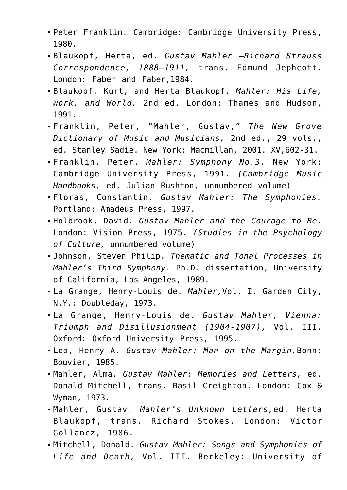- Peter Franklin. Cambridge: Cambridge University Press, 1980.
- Blaukopf, Herta, ed. *Gustav Mahler –Richard Strauss Correspondence, 1888–1911,* trans. Edmund Jephcott. London: Faber and Faber,1984.
- Blaukopf, Kurt, and Herta Blaukopf. *Mahler: His Life, Work, and World,* 2nd ed. London: Thames and Hudson, 1991.
- Franklin, Peter, "Mahler, Gustav," *The New Grove Dictionary of Music and Musicians,* 2nd ed., 29 vols., ed. Stanley Sadie. New York: Macmillan, 2001. XV,602-31.
- Franklin, Peter. *Mahler: Symphony No.3.* New York: Cambridge University Press, 1991. *(Cambridge Music Handbooks,* ed. Julian Rushton, unnumbered volume)
- Floras, Constantin. *Gustav Mahler: The Symphonies.* Portland: Amadeus Press, 1997.
- Holbrook, David. *Gustav Mahler and the Courage to Be.* London: Vision Press, 1975. *(Studies in the Psychology of Culture,* unnumbered volume)
- Johnson, Steven Philip. *Thematic and Tonal Processes in Mahler's Third Symphony.* Ph.D. dissertation, University of California, Los Angeles, 1989.
- La Grange, Henry-Louis de. *Mahler,*Vol. I. Garden City, N.Y.: Doubleday, 1973.
- La Grange, Henry-Louis de. *Gustav Mahler, Vienna: Triumph and Disillusionment (1904-1907),* Vol. III. Oxford: Oxford University Press, 1995.
- Lea, Henry A. *Gustav Mahler: Man on the Margin.*Bonn: Bouvier, 1985.
- Mahler, Alma. *Gustav Mahler: Memories and Letters,* ed. Donald Mitchell, trans. Basil Creighton. London: Cox & Wyman, 1973.
- Mahler, Gustav. *Mahler's Unknown Letters,*ed. Herta Blaukopf, trans. Richard Stokes. London: Victor Gollancz, 1986.
- Mitchell, Donald. *Gustav Mahler: Songs and Symphonies of Life and Death,* Vol. III. Berkeley: University of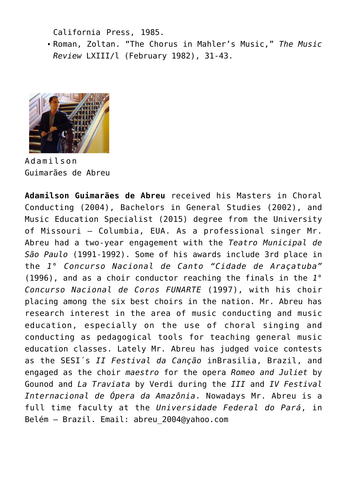California Press, 1985.

Roman, Zoltan. "The Chorus in Mahler's Music," *The Music Review* LXIII/l (February 1982), 31-43.



Adamilson Guimarães de Abreu

**Adamilson Guimarães de Abreu** received his Masters in Choral Conducting (2004), Bachelors in General Studies (2002), and Music Education Specialist (2015) degree from the University of Missouri – Columbia, EUA. As a professional singer Mr. Abreu had a two-year engagement with the *Teatro Municipal de São Paulo* (1991-1992). Some of his awards include 3rd place in the *1° Concurso Nacional de Canto "Cidade de Araçatuba"* (1996), and as a choir conductor reaching the finals in the *1° Concurso Nacional de Coros FUNARTE* (1997), with his choir placing among the six best choirs in the nation. Mr. Abreu has research interest in the area of music conducting and music education, especially on the use of choral singing and conducting as pedagogical tools for teaching general music education classes. Lately Mr. Abreu has judged voice contests as the SESI´s *II Festival da Canção* inBrasilia, Brazil, and engaged as the choir *maestro* for the opera *Romeo and Juliet* by Gounod and *La Traviata* by Verdi during the *III* and *IV Festival Internacional de Ópera da Amazônia*. Nowadays Mr. Abreu is a full time faculty at the *Universidade Federal do Pará*, in Belém – Brazil. Email: [abreu\\_2004@yahoo.com](mailto:abreu_2004@yahoo.com)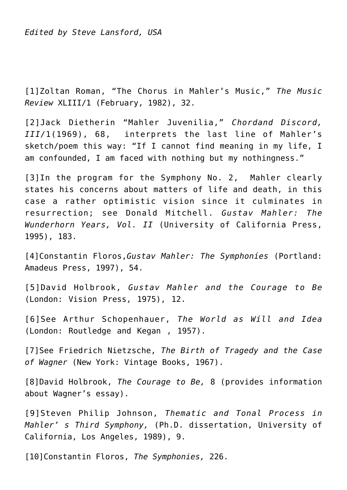*Edited by Steve Lansford, USA*

[\[1\]](http://icb.ifcm.net/applewebdata://9E3B48BF-B8CF-4DE6-966E-F39BBEF12231#_ftnref1)Zoltan Roman, "The Chorus in Mahler's Music," *The Music Review* XLIII/1 (February, 1982), 32.

[\[2\]](http://icb.ifcm.net/applewebdata://9E3B48BF-B8CF-4DE6-966E-F39BBEF12231#_ftnref2)Jack Dietherin "Mahler Juvenilia," *Chordand Discord, III/*1(1969), 68, interprets the last line of Mahler's sketch/poem this way: "If I cannot find meaning in my life, I am confounded, I am faced with nothing but my nothingness."

[\[3\]I](http://icb.ifcm.net/applewebdata://9E3B48BF-B8CF-4DE6-966E-F39BBEF12231#_ftnref3)n the program for the Symphony No. 2, Mahler clearly states his concerns about matters of life and death, in this case a rather optimistic vision since it culminates in resurrection; see Donald Mitchell. *Gustav Mahler: The Wunderhorn Years, Vol. II* (University of California Press, 1995), 183.

[\[4\]](http://icb.ifcm.net/applewebdata://9E3B48BF-B8CF-4DE6-966E-F39BBEF12231#_ftnref4)Constantin Floros,*Gustav Mahler: The Symphoníes* (Portland: Amadeus Press, 1997), 54.

[\[5\]D](http://icb.ifcm.net/applewebdata://9E3B48BF-B8CF-4DE6-966E-F39BBEF12231#_ftnref5)avid Holbrook, *Gustav Mahler and the Courage to Be* (London: Vision Press, 1975), 12.

[\[6\]S](http://icb.ifcm.net/applewebdata://9E3B48BF-B8CF-4DE6-966E-F39BBEF12231#_ftnref6)ee Arthur Schopenhauer, *The World as Wíll and Idea* (London: Routledge and Kegan , 1957).

[\[7\]](http://icb.ifcm.net/applewebdata://9E3B48BF-B8CF-4DE6-966E-F39BBEF12231#_ftnref7)See Friedrich Nietzsche, *The Birth of Tragedy and the Case of Wagner* (New York: Vintage Books, 1967).

[\[8\]](http://icb.ifcm.net/applewebdata://9E3B48BF-B8CF-4DE6-966E-F39BBEF12231#_ftnref8)David Holbrook, *The Courage to Be,* 8 (provides information about Wagner's essay).

[\[9\]](http://icb.ifcm.net/applewebdata://9E3B48BF-B8CF-4DE6-966E-F39BBEF12231#_ftnref9)Steven Philip Johnson, *Thematic and Tonal Process in Mahler' s Third Symphony,* (Ph.D. dissertation, University of California, Los Angeles, 1989), 9.

[\[10\]](http://icb.ifcm.net/applewebdata://9E3B48BF-B8CF-4DE6-966E-F39BBEF12231#_ftnref10)Constantin Floros, *The Symphonies,* 226.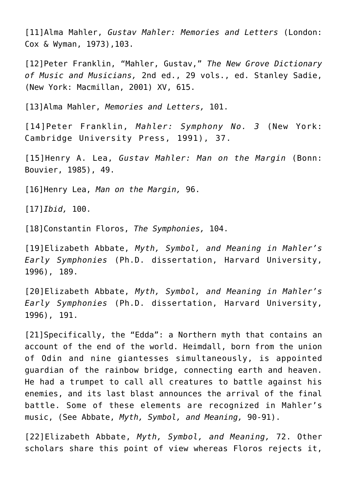[\[11\]A](http://icb.ifcm.net/applewebdata://9E3B48BF-B8CF-4DE6-966E-F39BBEF12231#_ftnref11)lma Mahler, *Gustav Mahler: Memories and Letters* (London: Cox & Wyman, 1973),103.

[\[12\]](http://icb.ifcm.net/applewebdata://9E3B48BF-B8CF-4DE6-966E-F39BBEF12231#_ftnref12)Peter Franklin, "Mahler, Gustav," *The New Grove Dictionary of Music and Musicians,* 2nd ed., 29 vols., ed. Stanley Sadie, (New York: Macmillan, 2001) XV, 615.

[\[13\]](http://icb.ifcm.net/applewebdata://9E3B48BF-B8CF-4DE6-966E-F39BBEF12231#_ftnref13)Alma Mahler, *Memories and Letters,* 101.

[\[14\]](http://icb.ifcm.net/applewebdata://9E3B48BF-B8CF-4DE6-966E-F39BBEF12231#_ftnref14)Peter Franklin, *Mahler: Symphony No. 3* (New York: Cambridge University Press, 1991), 37.

[\[15\]](http://icb.ifcm.net/applewebdata://9E3B48BF-B8CF-4DE6-966E-F39BBEF12231#_ftnref15)Henry A. Lea, *Gustav Mahler: Man on the Margin* (Bonn: Bouvier, 1985), 49.

[\[16\]](http://icb.ifcm.net/applewebdata://9E3B48BF-B8CF-4DE6-966E-F39BBEF12231#_ftnref16)Henry Lea, *Man on the Margin,* 96.

[\[17\]](http://icb.ifcm.net/applewebdata://9E3B48BF-B8CF-4DE6-966E-F39BBEF12231#_ftnref17)*Ibid,* 100.

[\[18\]](http://icb.ifcm.net/applewebdata://9E3B48BF-B8CF-4DE6-966E-F39BBEF12231#_ftnref18)Constantin Floros, *The Symphonies,* 104.

[\[19\]](http://icb.ifcm.net/applewebdata://9E3B48BF-B8CF-4DE6-966E-F39BBEF12231#_ftnref19)Elizabeth Abbate, *Myth, Symbol, and Meaning in Mahler's Early Symphonies* (Ph.D. dissertation, Harvard University, 1996), 189.

[\[20\]](http://icb.ifcm.net/applewebdata://9E3B48BF-B8CF-4DE6-966E-F39BBEF12231#_ftnref20)Elizabeth Abbate, *Myth, Symbol, and Meaning in Mahler's Early Symphonies* (Ph.D. dissertation, Harvard University, 1996), 191.

[\[21\]](http://icb.ifcm.net/applewebdata://9E3B48BF-B8CF-4DE6-966E-F39BBEF12231#_ftnref21)Specifically, the "Edda": a Northern myth that contains an account of the end of the world. Heimdall, born from the union of Odin and nine giantesses simultaneously, is appointed guardian of the rainbow bridge, connecting earth and heaven. He had a trumpet to call all creatures to battle against his enemies, and its last blast announces the arrival of the final battle. Some of these elements are recognized in Mahler's music, (See Abbate, *Myth, Symbol, and Meaning,* 90-91).

[\[22\]E](http://icb.ifcm.net/applewebdata://9E3B48BF-B8CF-4DE6-966E-F39BBEF12231#_ftnref22)lizabeth Abbate, *Myth, Symbol, and Meaning,* 72. Other scholars share this point of view whereas Floros rejects it,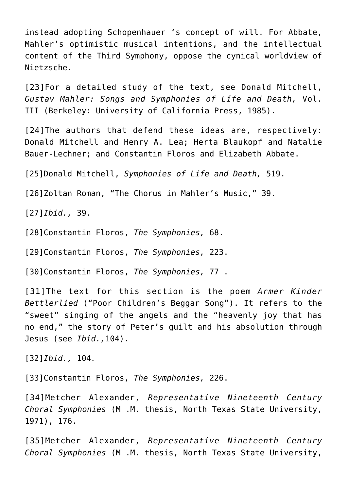instead adopting Schopenhauer 's concept of will. For Abbate, Mahler's optimistic musical intentions, and the intellectual content of the Third Symphony, oppose the cynical worldview of Nietzsche.

[\[23\]F](http://icb.ifcm.net/applewebdata://9E3B48BF-B8CF-4DE6-966E-F39BBEF12231#_ftnref23)or a detailed study of the text, see Donald Mitchell, *Gustav Mahler: Songs and Symphonies of Lífe and Death,* Vol. III (Berkeley: University of California Press, 1985).

[\[24\]T](http://icb.ifcm.net/applewebdata://9E3B48BF-B8CF-4DE6-966E-F39BBEF12231#_ftnref24)he authors that defend these ideas are, respectively: Donald Mitchell and Henry A. Lea; Herta Blaukopf and Natalie Bauer-Lechner; and Constantin Floros and Elizabeth Abbate.

[\[25\]](http://icb.ifcm.net/applewebdata://9E3B48BF-B8CF-4DE6-966E-F39BBEF12231#_ftnref25)Donald Mitchell, *Symphonies of Life and Death,* 519.

[\[26\]](http://icb.ifcm.net/applewebdata://9E3B48BF-B8CF-4DE6-966E-F39BBEF12231#_ftnref26)Zoltan Roman, "The Chorus in Mahler's Music," 39.

[\[27\]](http://icb.ifcm.net/applewebdata://9E3B48BF-B8CF-4DE6-966E-F39BBEF12231#_ftnref27)*Ibid.,* 39.

[\[28\]](http://icb.ifcm.net/applewebdata://9E3B48BF-B8CF-4DE6-966E-F39BBEF12231#_ftnref28)Constantin Floros, *The Symphonies,* 68.

[\[29\]](http://icb.ifcm.net/applewebdata://9E3B48BF-B8CF-4DE6-966E-F39BBEF12231#_ftnref29)Constantin Floros, *The Symphonies,* 223.

[\[30\]](http://icb.ifcm.net/applewebdata://9E3B48BF-B8CF-4DE6-966E-F39BBEF12231#_ftnref30)Constantin Floros, *The Symphonies,* 77 .

[\[31\]T](http://icb.ifcm.net/applewebdata://9E3B48BF-B8CF-4DE6-966E-F39BBEF12231#_ftnref31)he text for this section is the poem *Armer Kinder Bettlerlied* ("Poor Children's Beggar Song"). It refers to the "sweet" singing of the angels and the "heavenly joy that has no end," the story of Peter's guilt and his absolution through Jesus (see *Ibíd.,*104).

[\[32\]](http://icb.ifcm.net/applewebdata://9E3B48BF-B8CF-4DE6-966E-F39BBEF12231#_ftnref32)*Ibid.,* 104*.*

[\[33\]](http://icb.ifcm.net/applewebdata://9E3B48BF-B8CF-4DE6-966E-F39BBEF12231#_ftnref33)Constantin Floros, *The Symphonies,* 226.

[\[34\]M](http://icb.ifcm.net/applewebdata://9E3B48BF-B8CF-4DE6-966E-F39BBEF12231#_ftnref34)etcher Alexander, *Representatíve Nineteenth Century Choral Symphonies* (M .M. thesis, North Texas State University, 1971), 176.

[\[35\]M](http://icb.ifcm.net/applewebdata://9E3B48BF-B8CF-4DE6-966E-F39BBEF12231#_ftnref35)etcher Alexander, *Representatíve Nineteenth Century Choral Symphonies* (M .M. thesis, North Texas State University,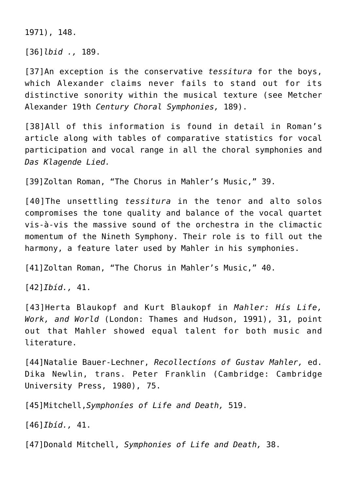1971), 148.

[\[36\]](http://icb.ifcm.net/applewebdata://9E3B48BF-B8CF-4DE6-966E-F39BBEF12231#_ftnref36)*lbid .,* 189.

[\[37\]](http://icb.ifcm.net/applewebdata://9E3B48BF-B8CF-4DE6-966E-F39BBEF12231#_ftnref37)An exception is the conservative *tessitura* for the boys, which Alexander claims never fails to stand out for its distinctive sonority within the musical texture (see Metcher Alexander 19th *Century Choral Symphonies,* 189).

[\[38\]](http://icb.ifcm.net/applewebdata://9E3B48BF-B8CF-4DE6-966E-F39BBEF12231#_ftnref38)All of this information is found in detail in Roman's article along with tables of comparative statistics for vocal participation and vocal range in all the choral symphonies and *Das Klagende Lied.*

[\[39\]](http://icb.ifcm.net/applewebdata://9E3B48BF-B8CF-4DE6-966E-F39BBEF12231#_ftnref39)Zoltan Roman, "The Chorus in Mahler's Music," 39.

[\[40\]T](http://icb.ifcm.net/applewebdata://9E3B48BF-B8CF-4DE6-966E-F39BBEF12231#_ftnref40)he unsettling *tessitura* in the tenor and alto solos compromises the tone quality and balance of the vocal quartet vis-à-vis the massive sound of the orchestra in the climactic momentum of the Nineth Symphony. Their role is to fill out the harmony, a feature later used by Mahler in his symphonies.

[\[41\]](http://icb.ifcm.net/applewebdata://9E3B48BF-B8CF-4DE6-966E-F39BBEF12231#_ftnref41)Zoltan Roman, "The Chorus in Mahler's Music," 40.

[\[42\]](http://icb.ifcm.net/applewebdata://9E3B48BF-B8CF-4DE6-966E-F39BBEF12231#_ftnref42)*Ibíd.,* 41.

[\[43\]](http://icb.ifcm.net/applewebdata://9E3B48BF-B8CF-4DE6-966E-F39BBEF12231#_ftnref43)Herta Blaukopf and Kurt Blaukopf in *Mahler: Hís Life, Work, and World* (London: Thames and Hudson, 1991), 31, point out that Mahler showed equal talent for both music and literature.

[\[44\]](http://icb.ifcm.net/applewebdata://9E3B48BF-B8CF-4DE6-966E-F39BBEF12231#_ftnref44)Natalie Bauer-Lechner, *Recollectíons of Gustav Mahler,* ed. Dika Newlin, trans. Peter Franklin (Cambridge: Cambridge University Press, 1980), 75.

[\[45\]](http://icb.ifcm.net/applewebdata://9E3B48BF-B8CF-4DE6-966E-F39BBEF12231#_ftnref45)Mitchell,*Symphoníes of Life and Death,* 519.

[\[46\]](http://icb.ifcm.net/applewebdata://9E3B48BF-B8CF-4DE6-966E-F39BBEF12231#_ftnref46)*Ibíd.,* 41.

[\[47\]](http://icb.ifcm.net/applewebdata://9E3B48BF-B8CF-4DE6-966E-F39BBEF12231#_ftnref47)Donald Mitchell, *Symphonies of Life and Death,* 38.